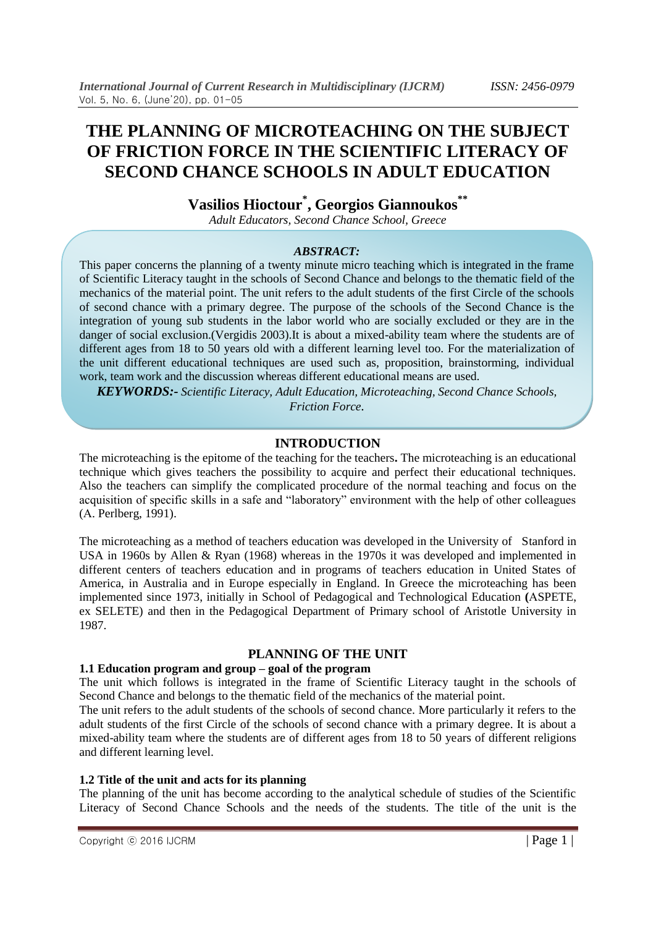# **THE PLANNING OF MICROTEACHING ON THE SUBJECT OF FRICTION FORCE IN THE SCIENTIFIC LITERACY OF SECOND CHANCE SCHOOLS IN ADULT EDUCATION**

**Vasilios Hioctour\* , Georgios Giannoukos\*\***

*Adult Educators, Second Chance School, Greece*

## *ABSTRACT:*

This paper concerns the planning of a twenty minute micro teaching which is integrated in the frame of Scientific Literacy taught in the schools of Second Chance and belongs to the thematic field of the mechanics of the material point. The unit refers to the adult students of the first Circle of the schools of second chance with a primary degree. The purpose of the schools of the Second Chance is the integration of young sub students in the labor world who are socially excluded or they are in the danger of social exclusion.(Vergidis 2003).It is about a mixed-ability team where the students are of different ages from 18 to 50 years old with a different learning level too. For the materialization of the unit different educational techniques are used such as, proposition, brainstorming, individual work, team work and the discussion whereas different educational means are used.

*KEYWORDS:- Scientific Literacy, Adult Education, Microteaching, Second Chance Schools, Friction Force.*

## **INTRODUCTION**

The microteaching is the epitome of the teaching for the teachers**.** The microteaching is an educational technique which gives teachers the possibility to acquire and perfect their educational techniques. Also the teachers can simplify the complicated procedure of the normal teaching and focus on the acquisition of specific skills in a safe and "laboratory" environment with the help of other colleagues (Α. Perlberg, 1991).

The microteaching as a method of teachers education was developed in the University of Stanford in USA in 1960s by Allen & Ryan (1968) whereas in the 1970s it was developed and implemented in different centers of teachers education and in programs of teachers education in United States of America, in Australia and in Europe especially in England. In Greece the microteaching has been implemented since 1973, initially in School of Pedagogical and Technological Education **(**ΑSPETE, ex SELETE) and then in the Pedagogical Department of Primary school of Aristotle University in 1987.

## **PLANNING OF THE UNIT**

#### **1.1 Education program and group – goal of the program**

The unit which follows is integrated in the frame of Scientific Literacy taught in the schools of Second Chance and belongs to the thematic field of the mechanics of the material point.

The unit refers to the adult students of the schools of second chance. More particularly it refers to the adult students of the first Circle of the schools of second chance with a primary degree. It is about a mixed-ability team where the students are of different ages from 18 to 50 years of different religions and different learning level.

## **1.2 Title of the unit and acts for its planning**

The planning of the unit has become according to the analytical schedule of studies of the Scientific Literacy of Second Chance Schools and the needs of the students. The title of the unit is the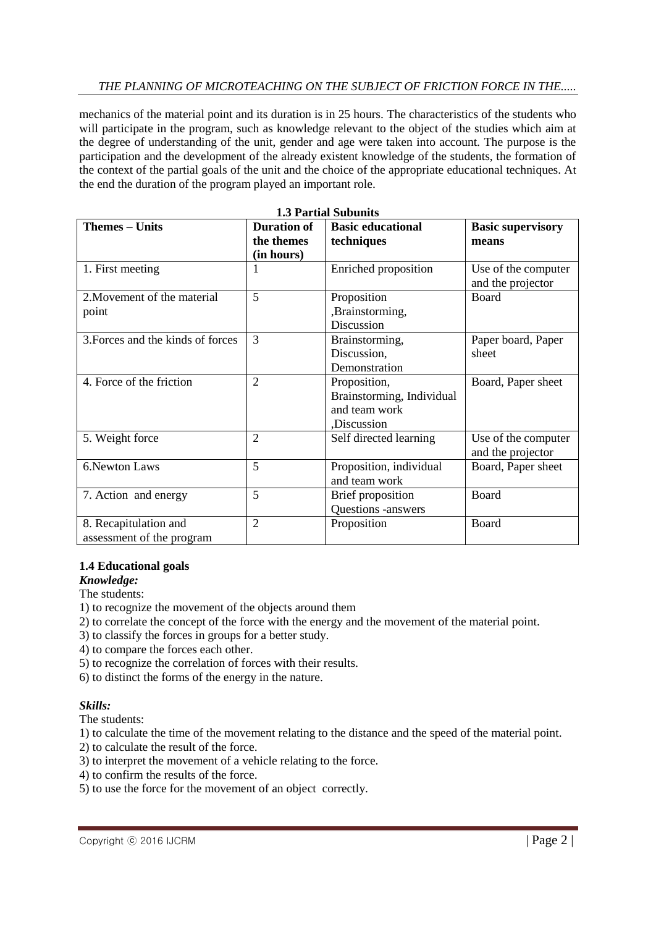# *THE PLANNING OF MICROTEACHING ON THE SUBJECT OF FRICTION FORCE IN THE.....*

mechanics of the material point and its duration is in 25 hours. The characteristics of the students who will participate in the program, such as knowledge relevant to the object of the studies which aim at the degree of understanding of the unit, gender and age were taken into account. The purpose is the participation and the development of the already existent knowledge of the students, the formation of the context of the partial goals of the unit and the choice of the appropriate educational techniques. At the end the duration of the program played an important role.

| <b>1.3 Partial Subunits</b>       |                    |                           |                          |  |
|-----------------------------------|--------------------|---------------------------|--------------------------|--|
| <b>Themes - Units</b>             | <b>Duration of</b> | <b>Basic educational</b>  | <b>Basic supervisory</b> |  |
|                                   | the themes         | techniques                | means                    |  |
|                                   | (in hours)         |                           |                          |  |
| 1. First meeting                  |                    | Enriched proposition      | Use of the computer      |  |
|                                   |                    |                           | and the projector        |  |
| 2. Movement of the material       | 5                  | Proposition               | Board                    |  |
| point                             |                    | ,Brainstorming,           |                          |  |
|                                   |                    | Discussion                |                          |  |
| 3. Forces and the kinds of forces | 3                  | Brainstorming,            | Paper board, Paper       |  |
|                                   |                    | Discussion,               | sheet                    |  |
|                                   |                    | Demonstration             |                          |  |
| 4. Force of the friction          | $\overline{2}$     | Proposition,              | Board, Paper sheet       |  |
|                                   |                    | Brainstorming, Individual |                          |  |
|                                   |                    | and team work             |                          |  |
|                                   |                    | ,Discussion               |                          |  |
| 5. Weight force                   | 2                  | Self directed learning    | Use of the computer      |  |
|                                   |                    |                           | and the projector        |  |
| 6. Newton Laws                    | 5                  | Proposition, individual   | Board, Paper sheet       |  |
|                                   |                    | and team work             |                          |  |
| 7. Action and energy              | 5                  | <b>Brief proposition</b>  | Board                    |  |
|                                   |                    | Questions -answers        |                          |  |
| 8. Recapitulation and             | $\overline{2}$     | Proposition               | Board                    |  |
| assessment of the program         |                    |                           |                          |  |

## **1.4 Educational goals**

*Knowledge:*

The students:

- 1) to recognize the movement of the objects around them
- 2) to correlate the concept of the force with the energy and the movement of the material point.
- 3) to classify the forces in groups for a better study.
- 4) to compare the forces each other.
- 5) to recognize the correlation of forces with their results.
- 6) to distinct the forms of the energy in the nature.

## *Skills:*

The students:

- 1) to calculate the time of the movement relating to the distance and the speed of the material point.
- 2) to calculate the result of the force.
- 3) to interpret the movement of a vehicle relating to the force.
- 4) to confirm the results of the force.
- 5) to use the force for the movement of an object correctly.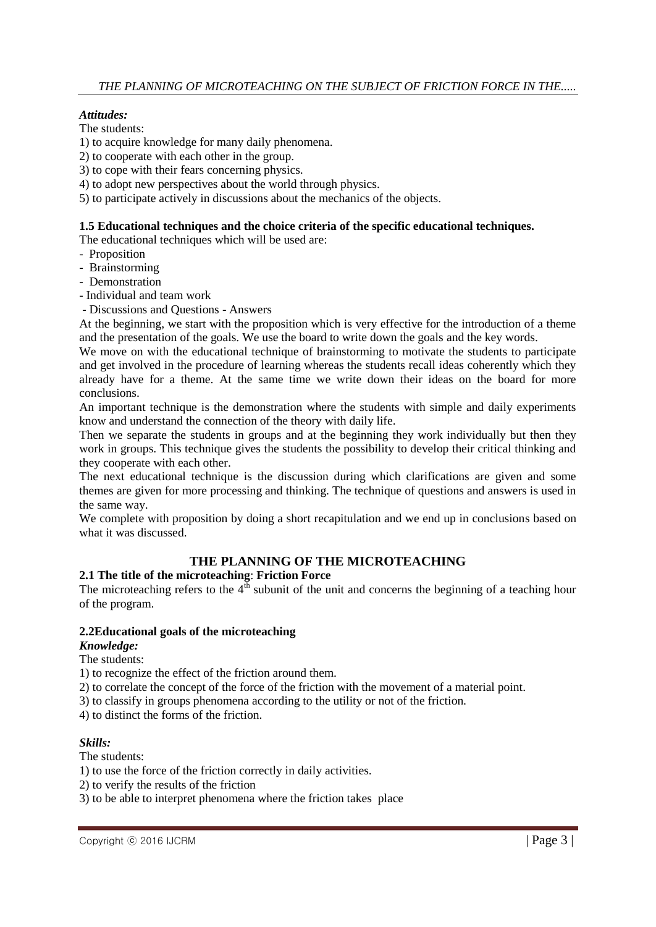# *Attitudes:*

The students:

- 1) to acquire knowledge for many daily phenomena.
- 2) to cooperate with each other in the group.
- 3) to cope with their fears concerning physics.
- 4) to adopt new perspectives about the world through physics.
- 5) to participate actively in discussions about the mechanics of the objects.

#### **1.5 Educational techniques and the choice criteria of the specific educational techniques.**

The educational techniques which will be used are:

- Proposition
- Brainstorming
- Demonstration
- Individual and team work
- Discussions and Questions Answers

At the beginning, we start with the proposition which is very effective for the introduction of a theme and the presentation of the goals. We use the board to write down the goals and the key words.

We move on with the educational technique of brainstorming to motivate the students to participate and get involved in the procedure of learning whereas the students recall ideas coherently which they already have for a theme. At the same time we write down their ideas on the board for more conclusions.

An important technique is the demonstration where the students with simple and daily experiments know and understand the connection of the theory with daily life.

Then we separate the students in groups and at the beginning they work individually but then they work in groups. This technique gives the students the possibility to develop their critical thinking and they cooperate with each other.

The next educational technique is the discussion during which clarifications are given and some themes are given for more processing and thinking. The technique of questions and answers is used in the same way.

We complete with proposition by doing a short recapitulation and we end up in conclusions based on what it was discussed.

# **THE PLANNING OF THE MICROTEACHING**

## **2.1 The title of the microteaching**: **Friction Force**

The microteaching refers to the  $4<sup>th</sup>$  subunit of the unit and concerns the beginning of a teaching hour of the program.

#### **2.2Educational goals of the microteaching**

#### *Knowledge:*

The students:

1) to recognize the effect of the friction around them.

2) to correlate the concept of the force of the friction with the movement of a material point.

3) to classify in groups phenomena according to the utility or not of the friction.

4) to distinct the forms of the friction.

## *Skills:*

The students:

1) to use the force of the friction correctly in daily activities.

2) to verify the results of the friction

3) to be able to interpret phenomena where the friction takes place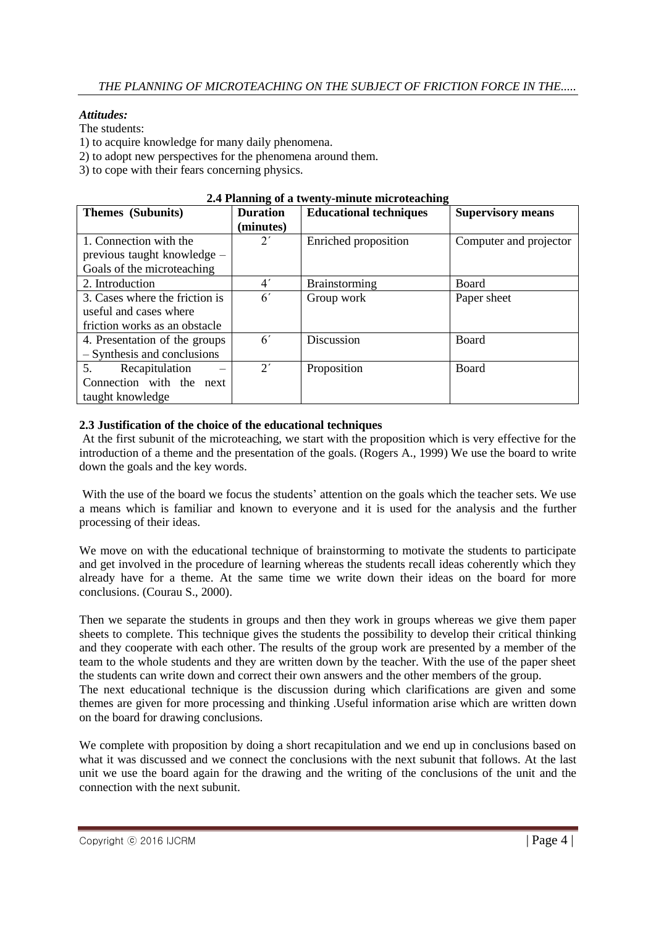# *Attitudes:*

The students:

1) to acquire knowledge for many daily phenomena.

2) to adopt new perspectives for the phenomena around them.

3) to cope with their fears concerning physics.

| Themes (Subunits)              | <b>Duration</b> | $\blacksquare$ . Thanking of a cwenty number metodological<br><b>Educational techniques</b> | <b>Supervisory means</b> |
|--------------------------------|-----------------|---------------------------------------------------------------------------------------------|--------------------------|
|                                | (minutes)       |                                                                                             |                          |
| 1. Connection with the         | $2^{\prime}$    | Enriched proposition                                                                        | Computer and projector   |
| previous taught knowledge –    |                 |                                                                                             |                          |
| Goals of the microteaching     |                 |                                                                                             |                          |
| 2. Introduction                | 4 <sup>'</sup>  | Brainstorming                                                                               | <b>Board</b>             |
| 3. Cases where the friction is | 6 <sup>′</sup>  | Group work                                                                                  | Paper sheet              |
| useful and cases where         |                 |                                                                                             |                          |
| friction works as an obstacle  |                 |                                                                                             |                          |
| 4. Presentation of the groups  | 6 <sup>′</sup>  | Discussion                                                                                  | Board                    |
| - Synthesis and conclusions    |                 |                                                                                             |                          |
| 5.<br>Recapitulation           | $2^{\prime}$    | Proposition                                                                                 | <b>Board</b>             |
| Connection with the<br>next    |                 |                                                                                             |                          |
| taught knowledge               |                 |                                                                                             |                          |

#### **2.4 Planning of a twenty-minute microteaching**

#### **2.3 Justification of the choice of the educational techniques**

At the first subunit of the microteaching, we start with the proposition which is very effective for the introduction of a theme and the presentation of the goals. (Rogers A., 1999) We use the board to write down the goals and the key words.

With the use of the board we focus the students' attention on the goals which the teacher sets. We use a means which is familiar and known to everyone and it is used for the analysis and the further processing of their ideas.

We move on with the educational technique of brainstorming to motivate the students to participate and get involved in the procedure of learning whereas the students recall ideas coherently which they already have for a theme. At the same time we write down their ideas on the board for more conclusions. (Courau S., 2000).

Then we separate the students in groups and then they work in groups whereas we give them paper sheets to complete. This technique gives the students the possibility to develop their critical thinking and they cooperate with each other. The results of the group work are presented by a member of the team to the whole students and they are written down by the teacher. With the use of the paper sheet the students can write down and correct their own answers and the other members of the group. The next educational technique is the discussion during which clarifications are given and some themes are given for more processing and thinking .Useful information arise which are written down on the board for drawing conclusions.

We complete with proposition by doing a short recapitulation and we end up in conclusions based on what it was discussed and we connect the conclusions with the next subunit that follows. At the last unit we use the board again for the drawing and the writing of the conclusions of the unit and the connection with the next subunit.